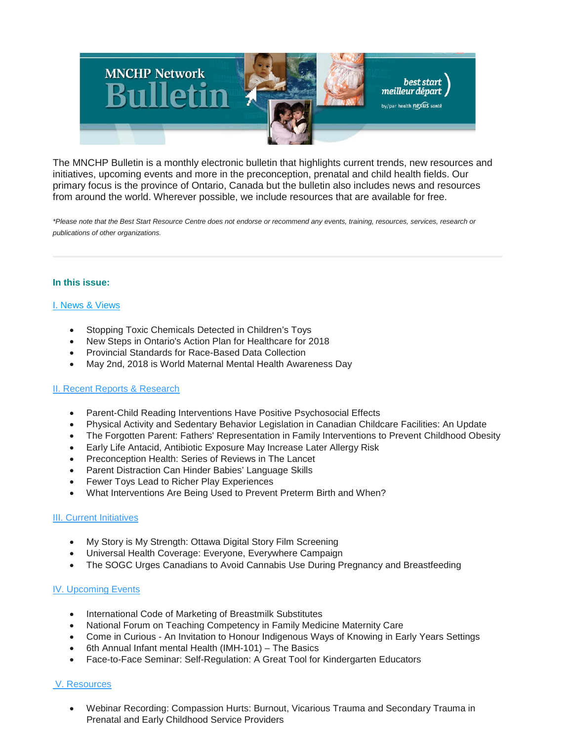

The MNCHP Bulletin is a monthly electronic bulletin that highlights current trends, new resources and initiatives, upcoming events and more in the preconception, prenatal and child health fields. Our primary focus is the province of Ontario, Canada but the bulletin also includes news and resources from around the world. Wherever possible, we include resources that are available for free.

*\*Please note that the Best Start Resource Centre does not endorse or recommend any events, training, resources, services, research or publications of other organizations.*

#### **In this issue:**

#### [I. News & Views](file://SV005/HN_DATA/PROJECT_DATA/BEST_START/Communications/MNCHP_HBHC_BSASC_RSMI_Networks/Bulletins/2018-2019/MNCHPbulletin_%20April%202018.html#I.%20News%20&%20Views)

- Stopping Toxic Chemicals Detected in Children's Toys
- New Steps in Ontario's Action Plan for Healthcare for 2018
- Provincial Standards for Race-Based Data Collection
- May 2nd, 2018 is World Maternal Mental Health Awareness Day

#### [II. Recent Reports & Research](file://SV005/HN_DATA/PROJECT_DATA/BEST_START/Communications/MNCHP_HBHC_BSASC_RSMI_Networks/Bulletins/2018-2019/MNCHPbulletin_%20April%202018.html#II.%20Recent%20Reports%20&%20Research)

- Parent-Child Reading Interventions Have Positive Psychosocial Effects
- Physical Activity and Sedentary Behavior Legislation in Canadian Childcare Facilities: An Update
- The Forgotten Parent: Fathers' Representation in Family Interventions to Prevent Childhood Obesity
- Early Life Antacid, Antibiotic Exposure May Increase Later Allergy Risk
- Preconception Health: Series of Reviews in The Lancet
- Parent Distraction Can Hinder Babies' Language Skills
- Fewer Toys Lead to Richer Play Experiences
- What Interventions Are Being Used to Prevent Preterm Birth and When?

#### [III. Current Initiatives](file://SV005/HN_DATA/PROJECT_DATA/BEST_START/Communications/MNCHP_HBHC_BSASC_RSMI_Networks/Bulletins/2018-2019/MNCHPbulletin_%20April%202018.html#III.%20Current%20Initiatives)

- My Story is My Strength: Ottawa Digital Story Film Screening
- Universal Health Coverage: Everyone, Everywhere Campaign
- The SOGC Urges Canadians to Avoid Cannabis Use During Pregnancy and Breastfeeding

#### [IV. Upcoming Events](file://SV005/HN_DATA/PROJECT_DATA/BEST_START/Communications/MNCHP_HBHC_BSASC_RSMI_Networks/Bulletins/2018-2019/MNCHPbulletin_%20April%202018.html#IV.%20Upcoming%20Events)

- International Code of Marketing of Breastmilk Substitutes
- National Forum on Teaching Competency in Family Medicine Maternity Care
- Come in Curious An Invitation to Honour Indigenous Ways of Knowing in Early Years Settings
- 6th Annual Infant mental Health (IMH-101) The Basics
- Face-to-Face Seminar: Self-Regulation: A Great Tool for Kindergarten Educators

## [V. Resources](file://SV005/HN_DATA/PROJECT_DATA/BEST_START/Communications/MNCHP_HBHC_BSASC_RSMI_Networks/Bulletins/2018-2019/MNCHPbulletin_%20April%202018.html#V.%20Resources)

• Webinar Recording: Compassion Hurts: Burnout, Vicarious Trauma and Secondary Trauma in Prenatal and Early Childhood Service Providers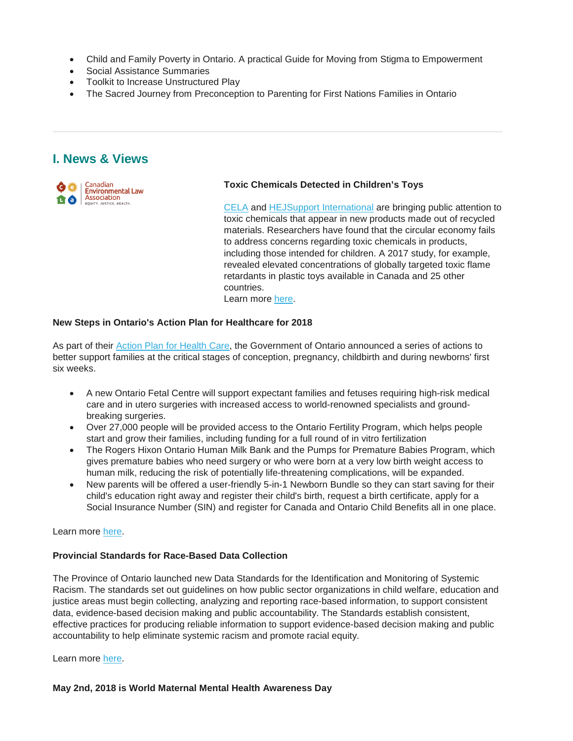- Child and Family Poverty in Ontario. A practical Guide for Moving from Stigma to Empowerment
- Social Assistance Summaries
- Toolkit to Increase Unstructured Play
- The Sacred Journey from Preconception to Parenting for First Nations Families in Ontario

## **I. News & Views**



### **Toxic Chemicals Detected in Children's Toys**

[CELA](http://www.cela.ca/) and [HEJSupport International](http://5491419133941.hostingkunde.de/) are bringing public attention to toxic chemicals that appear in new products made out of recycled materials. Researchers have found that the circular economy fails to address concerns regarding toxic chemicals in products, including those intended for children. A 2017 study, for example, revealed elevated concentrations of globally targeted toxic flame retardants in plastic toys available in Canada and 25 other countries. Learn more [here.](http://www.cela.ca/sites/cela.ca/files/1177-BannedToxicChemicalsDetected_1.pdf)

#### **New Steps in Ontario's Action Plan for Healthcare for 2018**

[A](http://www.health.gov.on.ca/en/ms/ecfa/healthy_change/)s part of their A[ction Plan for Health Care,](http://) the Government of Ontario announced a series of actions to better support families at the critical stages of conception, pregnancy, childbirth and during newborns' first six weeks.

- A new Ontario Fetal Centre will support expectant families and fetuses requiring high-risk medical care and in utero surgeries with increased access to world-renowned specialists and groundbreaking surgeries.
- Over 27,000 people will be provided access to the Ontario Fertility Program, which helps people start and grow their families, including funding for a full round of in vitro fertilization
- The Rogers Hixon Ontario Human Milk Bank and the Pumps for Premature Babies Program, which gives premature babies who need surgery or who were born at a very low birth weight access to human milk, reducing the risk of potentially life-threatening complications, will be expanded.
- New parents will be offered a user-friendly 5-in-1 Newborn Bundle so they can start saving for their child's education right away and register their child's birth, request a birth certificate, apply for a Social Insurance Number (SIN) and register for Canada and Ontario Child Benefits all in one place.

### Learn more [here.](http://news.ontario.ca/opo/en/2018/04/better-care-for-babies-and-families.html?utm_source=ondemand&utm_medium=email&utm_campaign=p)

## **Provincial Standards for Race-Based Data Collection**

The Province of Ontario launched new Data Standards for the Identification and Monitoring of Systemic Racism. The standards set out guidelines on how public sector organizations in child welfare, education and justice areas must begin collecting, analyzing and reporting race-based information, to support consistent data, evidence-based decision making and public accountability. The Standards establish consistent, effective practices for producing reliable information to support evidence-based decision making and public accountability to help eliminate systemic racism and promote racial equity.

Learn more [here.](https://www.ontario.ca/document/data-standards-identification-and-monitoring-systemic-racism?_ga=2.188177256.1932335915.1524617110-512339803.1513125589)

## **May 2nd, 2018 is World Maternal Mental Health Awareness Day**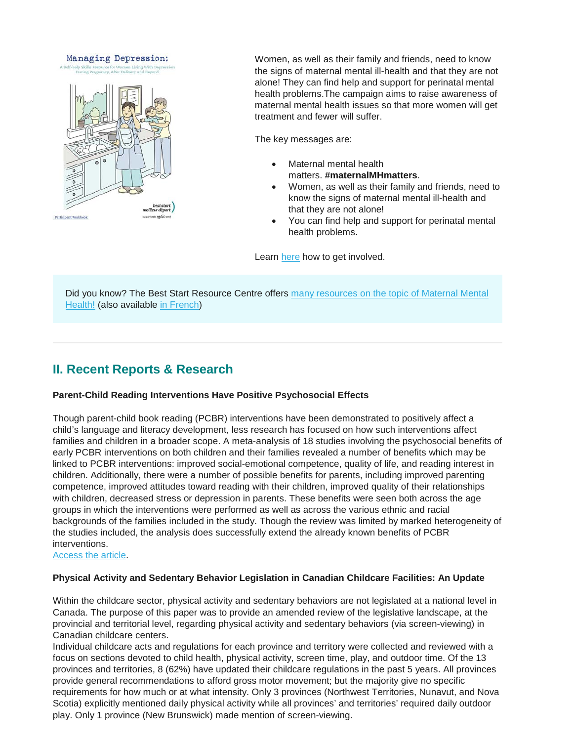#### Managing Depression:



Women, as well as their family and friends, need to know the signs of maternal mental ill-health and that they are not alone! They can find help and support for perinatal mental health problems.The campaign aims to raise awareness of maternal mental health issues so that more women will get treatment and fewer will suffer.

The key messages are:

- Maternal mental health matters. **#maternalMHmatters**.
- Women, as well as their family and friends, need to know the signs of maternal mental ill-health and that they are not alone!
- You can find help and support for perinatal mental health problems.

Learn [here](http://wmmhday.postpartum.net/get-involved/) how to get involved.

Did you know? The Best Start Resource Centre offers [many resources on the topic of Maternal Mental](https://www.beststart.org/cgi-bin/commerce.cgi?search=action&category=M00E&advanced=yes&sortkey=sku&sortorder=descending)  [Health!](https://www.beststart.org/cgi-bin/commerce.cgi?search=action&category=M00E&advanced=yes&sortkey=sku&sortorder=descending) (also available [in French\)](https://www.beststart.org/cgi-bin/commerce.cgi?search=action&category=M00F&advanced=yes&sortkey=sku&sortorder=descending)

# **II. Recent Reports & Research**

#### **Parent-Child Reading Interventions Have Positive Psychosocial Effects**

Though parent-child book reading (PCBR) interventions have been demonstrated to positively affect a child's language and literacy development, less research has focused on how such interventions affect families and children in a broader scope. A meta-analysis of 18 studies involving the psychosocial benefits of early PCBR interventions on both children and their families revealed a number of benefits which may be linked to PCBR interventions: improved social-emotional competence, quality of life, and reading interest in children. Additionally, there were a number of possible benefits for parents, including improved parenting competence, improved attitudes toward reading with their children, improved quality of their relationships with children, decreased stress or depression in parents. These benefits were seen both across the age groups in which the interventions were performed as well as across the various ethnic and racial backgrounds of the families included in the study. Though the review was limited by marked heterogeneity of the studies included, the analysis does successfully extend the already known benefits of PCBR interventions.

[Access the article.](https://www.2minutemedicine.com/parent-child-reading-interventions-have-positive-psychosocial-effects/)

#### **Physical Activity and Sedentary Behavior Legislation in Canadian Childcare Facilities: An Update**

Within the childcare sector, physical activity and sedentary behaviors are not legislated at a national level in Canada. The purpose of this paper was to provide an amended review of the legislative landscape, at the provincial and territorial level, regarding physical activity and sedentary behaviors (via screen-viewing) in Canadian childcare centers.

Individual childcare acts and regulations for each province and territory were collected and reviewed with a focus on sections devoted to child health, physical activity, screen time, play, and outdoor time. Of the 13 provinces and territories, 8 (62%) have updated their childcare regulations in the past 5 years. All provinces provide general recommendations to afford gross motor movement; but the majority give no specific requirements for how much or at what intensity. Only 3 provinces (Northwest Territories, Nunavut, and Nova Scotia) explicitly mentioned daily physical activity while all provinces' and territories' required daily outdoor play. Only 1 province (New Brunswick) made mention of screen-viewing.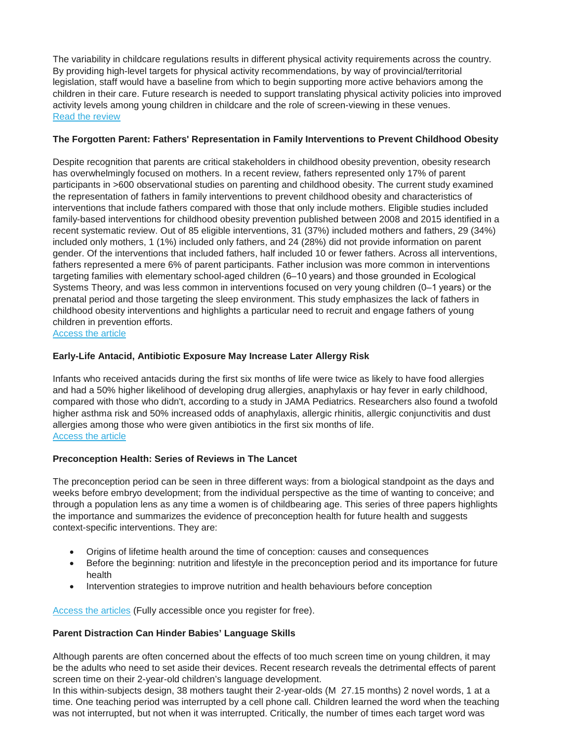The variability in childcare regulations results in different physical activity requirements across the country. By providing high-level targets for physical activity recommendations, by way of provincial/territorial legislation, staff would have a baseline from which to begin supporting more active behaviors among the children in their care. Future research is needed to support translating physical activity policies into improved activity levels among young children in childcare and the role of screen-viewing in these venues. [Read the review](https://link.springer.com/epdf/10.1186/s12889-018-5292-1?author_access_token=d9wcpb1yrSZUAoVdioDjAW_BpE1tBhCbnbw3BuzI2RPCnx3TV9S-IypyKOvYhEgQVgXQlhB0HKstp3Xt3mYmlDux21nNjJrqf3ox4jYwliUOZlZ0-sDW70afjQTl_Ex06BKNIcT395glggFkBia7mw%3D%3D)

## **The Forgotten Parent: Fathers' Representation in Family Interventions to Prevent Childhood Obesity**

Despite recognition that parents are critical stakeholders in childhood obesity prevention, obesity research has overwhelmingly focused on mothers. In a recent review, fathers represented only 17% of parent participants in >600 observational studies on parenting and childhood obesity. The current study examined the representation of fathers in family interventions to prevent childhood obesity and characteristics of interventions that include fathers compared with those that only include mothers. Eligible studies included family-based interventions for childhood obesity prevention published between 2008 and 2015 identified in a recent systematic review. Out of 85 eligible interventions, 31 (37%) included mothers and fathers, 29 (34%) included only mothers, 1 (1%) included only fathers, and 24 (28%) did not provide information on parent gender. Of the interventions that included fathers, half included 10 or fewer fathers. Across all interventions, fathers represented a mere 6% of parent participants. Father inclusion was more common in interventions targeting families with elementary school-aged children (6–10 years) and those grounded in Ecological Systems Theory, and was less common in interventions focused on very young children (0–1 years) or the prenatal period and those targeting the sleep environment. This study emphasizes the lack of fathers in childhood obesity interventions and highlights a particular need to recruit and engage fathers of young children in prevention efforts.

[Access the article](https://www.sciencedirect.com/science/article/pii/S0091743518300665)

## **Early-Life Antacid, Antibiotic Exposure May Increase Later Allergy Risk**

Infants who received antacids during the first six months of life were twice as likely to have food allergies and had a 50% higher likelihood of developing drug allergies, anaphylaxis or hay fever in early childhood, compared with those who didn't, according to a study in JAMA Pediatrics. Researchers also found a twofold higher asthma risk and 50% increased odds of anaphylaxis, allergic rhinitis, allergic conjunctivitis and dust allergies among those who were given antibiotics in the first six months of life. [Access the article](https://jamanetwork.com/journals/jamapediatrics/article-abstract/2676167?redirect=true)

## **Preconception Health: Series of Reviews in The Lancet**

The preconception period can be seen in three different ways: from a biological standpoint as the days and weeks before embryo development; from the individual perspective as the time of wanting to conceive; and through a population lens as any time a women is of childbearing age. This series of three papers highlights the importance and summarizes the evidence of preconception health for future health and suggests context-specific interventions. They are:

- Origins of lifetime health around the time of conception: causes and consequences
- Before the beginning: nutrition and lifestyle in the preconception period and its importance for future health
- Intervention strategies to improve nutrition and health behaviours before conception

[Access the articles](https://cmnrp.us11.list-manage.com/track/click?u=8a441ace1e52ae6e4762ed865&id=c99d6b2b53&e=34dfa22874) (Fully accessible once you register for free).

## **Parent Distraction Can Hinder Babies' Language Skills**

Although parents are often concerned about the effects of too much screen time on young children, it may be the adults who need to set aside their devices. Recent research reveals the detrimental effects of parent screen time on their 2-year-old children's language development.

In this within-subjects design, 38 mothers taught their 2-year-olds (M 27.15 months) 2 novel words, 1 at a time. One teaching period was interrupted by a cell phone call. Children learned the word when the teaching was not interrupted, but not when it was interrupted. Critically, the number of times each target word was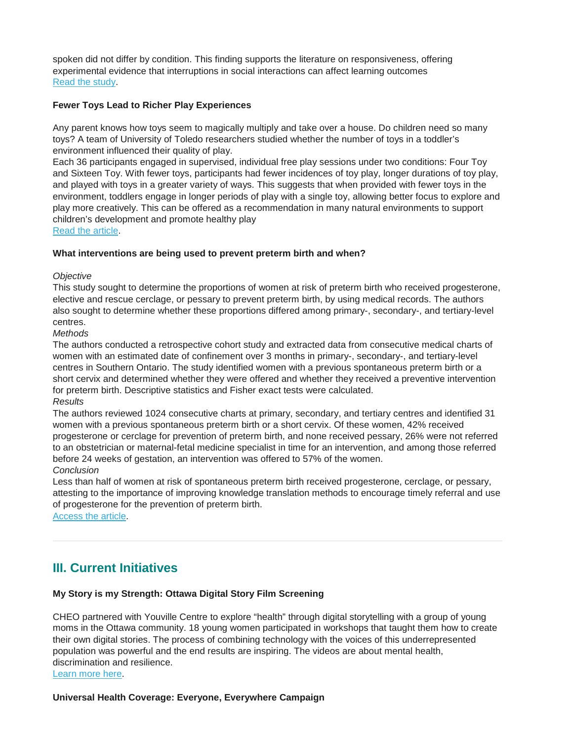spoken did not differ by condition. This finding supports the literature on responsiveness, offering experimental evidence that interruptions in social interactions can affect learning outcomes [Read the study.](http://templeinfantlab.com/wp-content/uploads/sites/2/2017/12/Learning-on-Hold.pdf)

#### **Fewer Toys Lead to Richer Play Experiences**

Any parent knows how toys seem to magically multiply and take over a house. Do children need so many toys? A team of University of Toledo researchers studied whether the number of toys in a toddler's environment influenced their quality of play.

Each 36 participants engaged in supervised, individual free play sessions under two conditions: Four Toy and Sixteen Toy. With fewer toys, participants had fewer incidences of toy play, longer durations of toy play, and played with toys in a greater variety of ways. This suggests that when provided with fewer toys in the environment, toddlers engage in longer periods of play with a single toy, allowing better focus to explore and play more creatively. This can be offered as a recommendation in many natural environments to support children's development and promote healthy play

[Read the article.](https://ac.els-cdn.com/S0163638317301613/1-s2.0-S0163638317301613-main.pdf?_tid=0b408c7c-d786-4ae4-b7bc-9c52448cd20d&acdnat=1524678673_61f94b4734cec1f17b66c76519a2732c)

#### **What interventions are being used to prevent preterm birth and when?**

#### *Objective*

This study sought to determine the proportions of women at risk of preterm birth who received progesterone, elective and rescue cerclage, or pessary to prevent preterm birth, by using medical records. The authors also sought to determine whether these proportions differed among primary-, secondary-, and tertiary-level centres.

*Methods*

The authors conducted a retrospective cohort study and extracted data from consecutive medical charts of women with an estimated date of confinement over 3 months in primary-, secondary-, and tertiary-level centres in Southern Ontario. The study identified women with a previous spontaneous preterm birth or a short cervix and determined whether they were offered and whether they received a preventive intervention for preterm birth. Descriptive statistics and Fisher exact tests were calculated. *Results*

The authors reviewed 1024 consecutive charts at primary, secondary, and tertiary centres and identified 31 women with a previous spontaneous preterm birth or a short cervix. Of these women, 42% received progesterone or cerclage for prevention of preterm birth, and none received pessary, 26% were not referred to an obstetrician or maternal-fetal medicine specialist in time for an intervention, and among those referred before 24 weeks of gestation, an intervention was offered to 57% of the women.

*Conclusion*

Less than half of women at risk of spontaneous preterm birth received progesterone, cerclage, or pessary, attesting to the importance of improving knowledge translation methods to encourage timely referral and use of progesterone for the prevention of preterm birth.

[Access the article.](http://www.jogc.com/article/S1701-2163(17)30576-5/pdf)

# **III. Current Initiatives**

## **My Story is my Strength: Ottawa Digital Story Film Screening**

CHEO partnered with Youville Centre to explore "health" through digital storytelling with a group of young moms in the Ottawa community. 18 young women participated in workshops that taught them how to create their own digital stories. The process of combining technology with the voices of this underrepresented population was powerful and the end results are inspiring. The videos are about mental health, discrimination and resilience.

[Learn more here.](https://cmnrp.us11.list-manage.com/track/click?u=8a441ace1e52ae6e4762ed865&id=9a44d91d28&e=34dfa22874)

## **Universal Health Coverage: Everyone, Everywhere Campaign**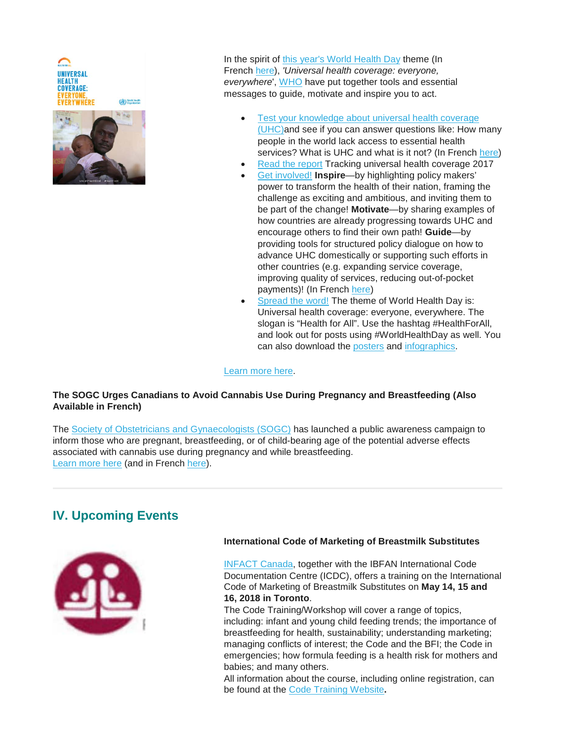**UNIVERSAL** (<br />
World Health

In the spirit of [this year's World Health Day](https://who.us9.list-manage.com/track/click?u=a6b34fbd46b688a84a907e16d&id=6ab10ae0e8&e=76616676fb) theme (In French [here\)](http://www.who.int/campaigns/world-health-day/2018/fr/), *'Universal health coverage: everyone, everywhere*', [WHO](http://www.who.int/en/) have put together tools and essential messages to guide, motivate and inspire you to act.

- Test your knowledge about universal health coverage [\(UHC\)a](https://who.us9.list-manage.com/track/click?u=a6b34fbd46b688a84a907e16d&id=cbe3e57369&e=76616676fb)nd see if you can answer questions like: How many people in the world lack access to essential health services? What is UHC and what is it not? (In French [here\)](http://www.who.int/campaigns/world-health-day/2018/quiz/fr/)
- [Read the report](http://www.who.int/entity/healthinfo/universal_health_coverage/report/2017/en/index.html) Tracking universal health coverage 2017
	- [Get involved!](http://www.who.int/entity/campaigns/world-health-day/2018/how-you-can-get-involved/en/index.html) **Inspire**—by highlighting policy makers' power to transform the health of their nation, framing the challenge as exciting and ambitious, and inviting them to be part of the change! **Motivate**—by sharing examples of how countries are already progressing towards UHC and encourage others to find their own path! **Guide**—by providing tools for structured policy dialogue on how to advance UHC domestically or supporting such efforts in other countries (e.g. expanding service coverage, improving quality of services, reducing out-of-pocket payments)! (In French [here\)](http://www.who.int/campaigns/world-health-day/2018/how-you-can-get-involved/fr/)
- [Spread the word!](http://www.who.int/entity/campaigns/world-health-day/2018/social-media/en/index.html) The theme of World Health Day is: Universal health coverage: everyone, everywhere. The slogan is "Health for All". Use the hashtag #HealthForAll, and look out for posts using #WorldHealthDay as well. You can also download the [posters](http://www.who.int/campaigns/world-health-day/2018/posters/amro/en/) and [infographics.](http://www.who.int/universal_health_coverage/infographics/en/)

#### [Learn more here.](http://www.who.int/campaigns/world-health-day/2018/WHD2018-Campaign-Essentials-EN.pdf)

## **The SOGC Urges Canadians to Avoid Cannabis Use During Pregnancy and Breastfeeding (Also Available in French)**

The [Society of Obstetricians and Gynaecologists \(SOGC\)](https://sogc.org/) has launched a public awareness campaign to inform those who are pregnant, breastfeeding, or of child-bearing age of the potential adverse effects associated with cannabis use during pregnancy and while breastfeeding. [Learn more here](https://cmnrp.us11.list-manage.com/track/click?u=8a441ace1e52ae6e4762ed865&id=039d4fa08a&e=34dfa22874) (and in French [here\)](https://sogc.org/fr/news-items/index.html?id=207).

# **IV. Upcoming Events**



#### **International Code of Marketing of Breastmilk Substitutes**

[INFACT Canada,](http://www.infactcanada.ca/) together with the IBFAN International Code Documentation Centre (ICDC), offers a training on the International Code of Marketing of Breastmilk Substitutes on **May 14, 15 and 16, 2018 in Toronto**.

The Code Training/Workshop will cover a range of topics, including: infant and young child feeding trends; the importance of breastfeeding for health, sustainability; understanding marketing; managing conflicts of interest; the Code and the BFI; the Code in emergencies; how formula feeding is a health risk for mothers and babies; and many others.

All information about the course, including online registration, can be found at the [Code Training Website](http://infactsecure.com/codetraining/)**.**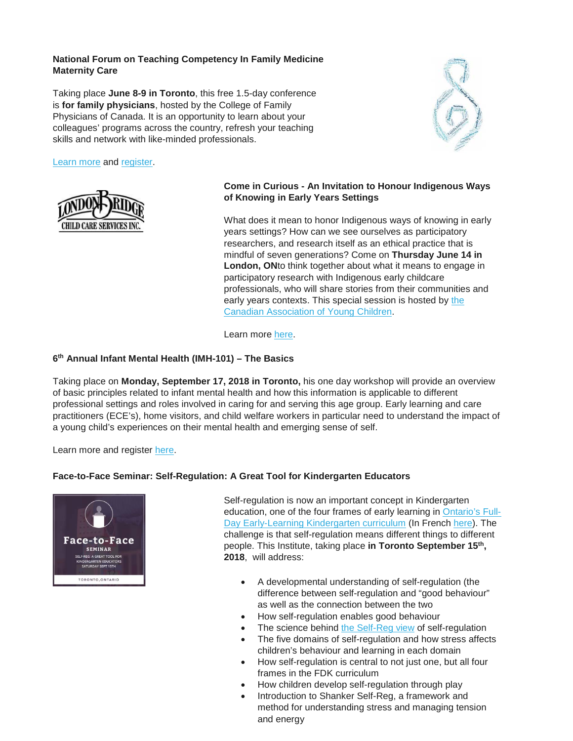#### **National Forum on Teaching Competency In Family Medicine Maternity Care**

Taking place **June 8-9 in Toronto**, this free 1.5-day conference is **for family physicians**, hosted by the College of Family Physicians of Canada. It is an opportunity to learn about your colleagues' programs across the country, refresh your teaching skills and network with like-minded professionals.

[Learn more](http://www.cfpc.ca/uploadedFiles/Directories/Committees_List/2018-Teaching-Competency-Program-and-Registration-Information.pdf) and [register.](http://www.mountsinai.on.ca/cme/)



## **Come in Curious - An Invitation to Honour Indigenous Ways of Knowing in Early Years Settings**

What does it mean to honor Indigenous ways of knowing in early years settings? How can we see ourselves as participatory researchers, and research itself as an ethical practice that is mindful of seven generations? Come on **Thursday June 14 in London, ON**to think together about what it means to engage in participatory research with Indigenous early childcare professionals, who will share stories from their communities and early years contexts. This special session is hosted by the [Canadian Association of Young Children.](https://www.cayc.ca/)

Learn more [here.](https://gallery.mailchimp.com/a1306452cb9293f4d8406bf6d/files/f6bd8678-600e-4dec-b058-11c32bad3067/CAYC_conference_flyer.pdf)

#### **6th Annual Infant Mental Health (IMH-101) – The Basics**

Taking place on **Monday, September 17, 2018 in Toronto,** his one day workshop will provide an overview of basic principles related to infant mental health and how this information is applicable to different professional settings and roles involved in caring for and serving this age group. Early learning and care practitioners (ECE's), home visitors, and child welfare workers in particular need to understand the impact of a young child's experiences on their mental health and emerging sense of self.

Learn more and register [here.](http://www.cvent.com/d/qtqy93)

#### **Face-to-Face Seminar: Self-Regulation: A Great Tool for Kindergarten Educators**



Self-regulation is now an important concept in Kindergarten education, one of the four frames of early learning in [Ontario's Full-](https://www.ontario.ca/document/kindergarten-program-2016)[Day Early-Learning Kindergarten curriculum](https://www.ontario.ca/document/kindergarten-program-2016) (In French [here\)](https://www.ontario.ca/fr/document/programme-de-la-maternelle-et-du-jardin-denfants-2016). The challenge is that self-regulation means different things to different people. This Institute, taking place **in Toronto September 15th, 2018**, will address:

- A developmental understanding of self-regulation (the difference between self-regulation and "good behaviour" as well as the connection between the two
- How self-regulation enables good behaviour
	- The science behind [the Self-Reg view](https://youtu.be/hOlV_kNYAYA) of self-regulation
- The five domains of self-regulation and how stress affects children's behaviour and learning in each domain
- How self-regulation is central to not just one, but all four frames in the FDK curriculum
- How children develop self-regulation through play
- Introduction to Shanker Self-Reg, a framework and method for understanding stress and managing tension and energy

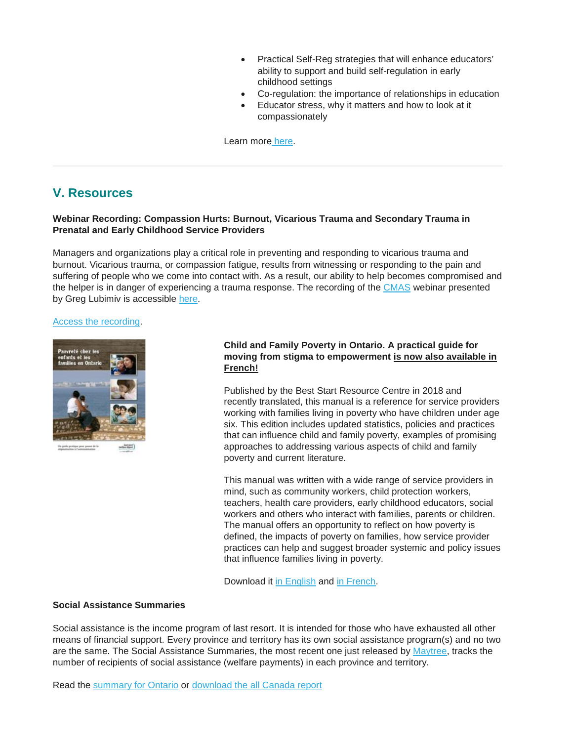- Practical Self-Reg strategies that will enhance educators' ability to support and build self-regulation in early childhood settings
- Co-regulation: the importance of relationships in education
- Educator stress, why it matters and how to look at it compassionately

Learn more [here.](https://self-reg.ca/torontoevents/?mc_cid=7c87497fe0&mc_eid=c73d2047dd)

## **V. Resources**

## **Webinar Recording: Compassion Hurts: Burnout, Vicarious Trauma and Secondary Trauma in Prenatal and Early Childhood Service Providers**

Managers and organizations play a critical role in preventing and responding to vicarious trauma and burnout. Vicarious trauma, or compassion fatigue, results from witnessing or responding to the pain and suffering of people who we come into contact with. As a result, our ability to help becomes compromised and the helper is in danger of experiencing a trauma response. The recording of the [CMAS](https://cmascanada.ca/) webinar presented by Greg Lubimiv is accessible [here.](https://cmnrp.us11.list-manage.com/track/click?u=8a441ace1e52ae6e4762ed865&id=1a9c63ad9b&e=34dfa22874)

#### [Access the recording.](https://cmnrp.us11.list-manage.com/track/click?u=8a441ace1e52ae6e4762ed865&id=1a9c63ad9b&e=34dfa22874)



## **Child and Family Poverty in Ontario. A practical guide for moving from stigma to empowerment is now also available in French!**

Published by the Best Start Resource Centre in 2018 and recently translated, this manual is a reference for service providers working with families living in poverty who have children under age six. This edition includes updated statistics, policies and practices that can influence child and family poverty, examples of promising approaches to addressing various aspects of child and family poverty and current literature.

This manual was written with a wide range of service providers in mind, such as community workers, child protection workers, teachers, health care providers, early childhood educators, social workers and others who interact with families, parents or children. The manual offers an opportunity to reflect on how poverty is defined, the impacts of poverty on families, how service provider practices can help and suggest broader systemic and policy issues that influence families living in poverty.

Download it [in English](https://www.beststart.org/resources/anti_poverty/pdf/G03-E_ChildAndFamilyPovertyInOntario.pdf) and [in French.](https://www.meilleurdepart.org/resources/socio/pdf/G03-F_PauvreteChezLesEnfantsEtLesFamillesON.pdf)

#### **Social Assistance Summaries**

Social assistance is the income program of last resort. It is intended for those who have exhausted all other means of financial support. Every province and territory has its own social assistance program(s) and no two are the same. The Social Assistance Summaries, the most recent one just released by [Maytree,](https://maytree.com/) tracks the number of recipients of social assistance (welfare payments) in each province and territory.

Read the [summary for Ontario](http://r20.rs6.net/tn.jsp?f=001CCOLsGbefNJ_nQ6uagfS8-SRf8KbozC0FfV0erp7dhUBb4Yy0_ivXu7JMv-7E_Gerp5gJZS4BdqHFHRfn3uFk7vSbQhQsrvvs174xPrkrZK7q3iVC9nDtoElV0-eq8Wc704Q4RSQF0tyfc4B23BxwXeHddQgLd8fk2TRbca4PI0pM7SV6DMCORqk8NMb-CVw0NKI-h0cmux-eDOX_Jij-fCL8doCqa0q&c=cKQY7wx1gsTOWzmSKtWkrc8BEGsYYVoVV3bFYIpspO5a8LkgLrtNeg==&ch=-8Dh-Gqbh_eUSDioejP_CIukk4BLryRJCphnmMxZfNtQtf5YTLzzaw==) or [download the all Canada report](http://r20.rs6.net/tn.jsp?f=001CCOLsGbefNJ_nQ6uagfS8-SRf8KbozC0FfV0erp7dhUBb4Yy0_ivXu7JMv-7E_Ge84-ujIJFQntokWWtaffyCG15MosOao4NgbTig-fCRjE_vm1RN9mGAPXYByvSqJGsIAFC5f_quuMnuu954eelGuHfO9Gi1NfyUHTCmFbVOc6fmbrF3jnCI_jVePN23TlPllD8OCgRmkYhI0psGA5duU8qNWf9QktecFK2YkKhfyWlqyUccu4A34PUN4SThPEi&c=cKQY7wx1gsTOWzmSKtWkrc8BEGsYYVoVV3bFYIpspO5a8LkgLrtNeg==&ch=-8Dh-Gqbh_eUSDioejP_CIukk4BLryRJCphnmMxZfNtQtf5YTLzzaw==)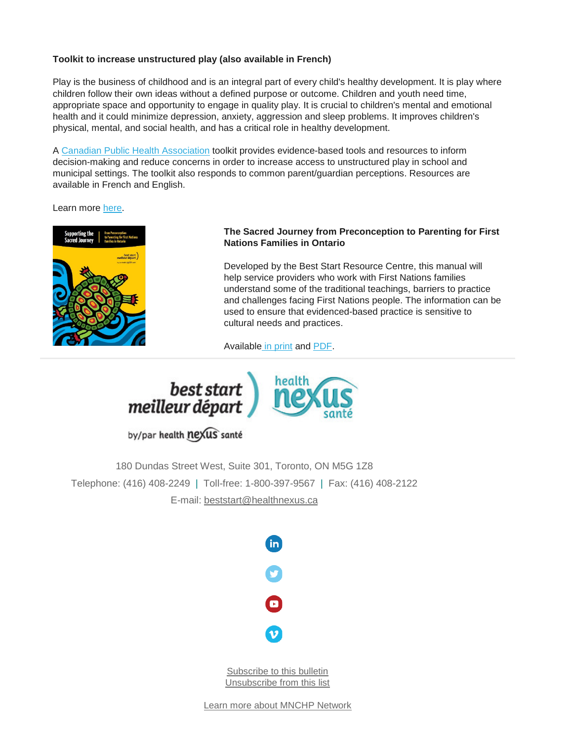## **Toolkit to increase unstructured play (also available in French)**

Play is the business of childhood and is an integral part of every child's healthy development. It is play where children follow their own ideas without a defined purpose or outcome. Children and youth need time, appropriate space and opportunity to engage in quality play. It is crucial to children's mental and emotional health and it could minimize depression, anxiety, aggression and sleep problems. It improves children's physical, mental, and social health, and has a critical role in healthy development.

A [Canadian Public Health Association](https://www.cpha.ca/) toolkit provides evidence-based tools and resources to inform decision-making and reduce concerns in order to increase access to unstructured play in school and municipal settings. The toolkit also responds to common parent/guardian perceptions. Resources are available in French and English.

Learn more [here.](http://strongmail1.multiview.com/track?type=click&eas=1&mailingid=2234638&messageid=2234638&databaseid=Mailing.DS234638.2234638.217235&serial=17854013&emailid=informationspecialist@beststart.org&userid=128216529&targetid=&fl=&extra=MultivariateId=&&&2066&&&http://multibriefs.com/ViewLink.php?i=5addffd23d724)



### **The Sacred Journey from Preconception to Parenting for First Nations Families in Ontario**

Developed by the Best Start Resource Centre, this manual will help service providers who work with First Nations families understand some of the traditional teachings, barriers to practice and challenges facing First Nations people. The information can be used to ensure that evidenced-based practice is sensitive to cultural needs and practices.

Available [in print](https://www.beststart.org/cgi-bin/commerce.cgi?preadd=action&key=E31-A) and [PDF.](http://www.beststart.org/resources/rep_health/pdf/SupportingtheSacredJourney.pdf)



by/par health nexus santé

180 Dundas Street West, Suite 301, Toronto, ON M5G 1Z8 Telephone: (416) 408-2249 | Toll-free: 1-800-397-9567 | Fax: (416) 408-2122 E-mail: [beststart@healthnexus.ca](mailto:beststart@healthnexus.ca?subject=Contact%20Us)



[Subscribe to this bulletin](mailto:mnchp@healthnexus.ca?subject=Subscribe%20to%20MNCHP%20bulletin%20and%20network) [Unsubscribe from this list](mailto:mnchp@healthnexus.ca?subject=Subscribe%20to%20MNCHP%20bulletin%20and%20network)

[Learn more about MNCHP Network](http://lists.beststart.org/listinfo.cgi/mnchp-beststart.org)